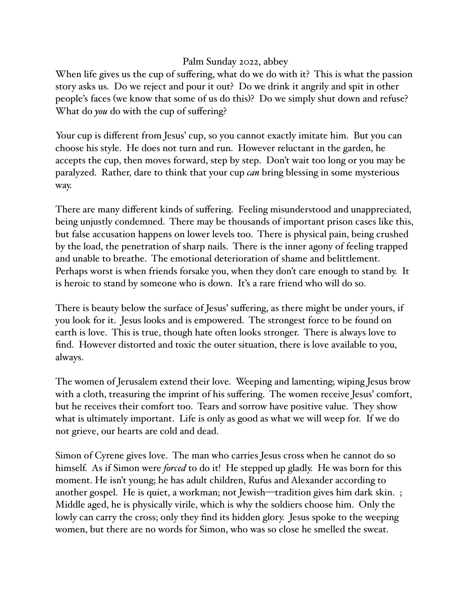## Palm Sunday 2022, abbey

When life gives us the cup of suffering, what do we do with it? This is what the passion story asks us. Do we reject and pour it out? Do we drink it angrily and spit in other people's faces (we know that some of us do this)? Do we simply shut down and refuse? What do *you* do with the cup of suffering?

Your cup is different from Jesus' cup, so you cannot exactly imitate him. But you can choose his style. He does not turn and run. However reluctant in the garden, he accepts the cup, then moves forward, step by step. Don't wait too long or you may be paralyzed. Rather, dare to think that your cup *can* bring blessing in some mysterious way.

There are many different kinds of suffering. Feeling misunderstood and unappreciated, being unjustly condemned. There may be thousands of important prison cases like this, but false accusation happens on lower levels too. There is physical pain, being crushed by the load, the penetration of sharp nails. There is the inner agony of feeling trapped and unable to breathe. The emotional deterioration of shame and belittlement. Perhaps worst is when friends forsake you, when they don't care enough to stand by. It is heroic to stand by someone who is down. It's a rare friend who will do so.

There is beauty below the surface of Jesus' suffering, as there might be under yours, if you look for it. Jesus looks and is empowered. The strongest force to be found on earth is love. This is true, though hate often looks stronger. There is always love to find. However distorted and toxic the outer situation, there is love available to you, always.

The women of Jerusalem extend their love. Weeping and lamenting; wiping Jesus brow with a cloth, treasuring the imprint of his suffering. The women receive Jesus' comfort, but he receives their comfort too. Tears and sorrow have positive value. They show what is ultimately important. Life is only as good as what we will weep for. If we do not grieve, our hearts are cold and dead.

Simon of Cyrene gives love. The man who carries Jesus cross when he cannot do so himself. As if Simon were *forced* to do it! He stepped up gladly. He was born for this moment. He isn't young; he has adult children, Rufus and Alexander according to another gospel. He is quiet, a workman; not Jewish—tradition gives him dark skin. ; Middle aged, he is physically virile, which is why the soldiers choose him. Only the lowly can carry the cross; only they find its hidden glory. Jesus spoke to the weeping women, but there are no words for Simon, who was so close he smelled the sweat.